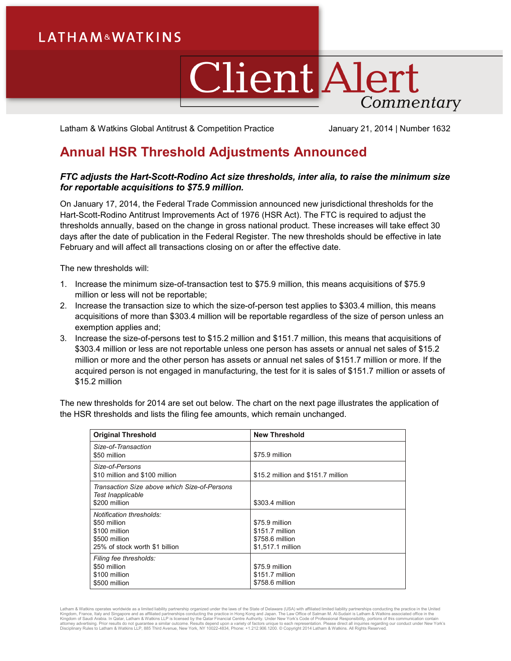## **LATHAM&WATKINS**

## **Client Alert** Commentary

Latham & Watkins Global Antitrust & Competition Practice January 21, 2014 | Number 1632

## **Annual HSR Threshold Adjustments Announced**

## *FTC adjusts the Hart-Scott-Rodino Act size thresholds, inter alia, to raise the minimum size for reportable acquisitions to \$75.9 million.*

On January 17, 2014, the Federal Trade Commission announced new jurisdictional thresholds for the Hart-Scott-Rodino Antitrust Improvements Act of 1976 (HSR Act). The FTC is required to adjust the thresholds annually, based on the change in gross national product. These increases will take effect 30 days after the date of publication in the Federal Register. The new thresholds should be effective in late February and will affect all transactions closing on or after the effective date.

The new thresholds will:

- 1. Increase the minimum size-of-transaction test to \$75.9 million, this means acquisitions of \$75.9 million or less will not be reportable;
- 2. Increase the transaction size to which the size-of-person test applies to \$303.4 million, this means acquisitions of more than \$303.4 million will be reportable regardless of the size of person unless an exemption applies and;
- 3. Increase the size-of-persons test to \$15.2 million and \$151.7 million, this means that acquisitions of \$303.4 million or less are not reportable unless one person has assets or annual net sales of \$15.2 million or more and the other person has assets or annual net sales of \$151.7 million or more. If the acquired person is not engaged in manufacturing, the test for it is sales of \$151.7 million or assets of \$15.2 million

The new thresholds for 2014 are set out below. The chart on the next page illustrates the application of the HSR thresholds and lists the filing fee amounts, which remain unchanged.

| <b>Original Threshold</b>                                                                                    | <b>New Threshold</b>                                                      |
|--------------------------------------------------------------------------------------------------------------|---------------------------------------------------------------------------|
| Size-of-Transaction<br>\$50 million                                                                          | \$75.9 million                                                            |
| Size-of-Persons<br>\$10 million and \$100 million                                                            | \$15.2 million and \$151.7 million                                        |
| Transaction Size above which Size-of-Persons<br><b>Test Inapplicable</b><br>\$200 million                    | \$303.4 million                                                           |
| Notification thresholds:<br>\$50 million<br>\$100 million<br>\$500 million<br>25% of stock worth \$1 billion | \$75.9 million<br>\$151.7 million<br>\$758.6 million<br>\$1,517.1 million |
| Filing fee thresholds:<br>\$50 million<br>\$100 million<br>\$500 million                                     | \$75.9 million<br>\$151.7 million<br>\$758.6 million                      |

Latham & Watkins operates worldwide as a limited liability partnership organized under the laws of the State of Delaware (USA) with affiliated partnerships conducting the practice in Hong Kong and Japan. The Law Office of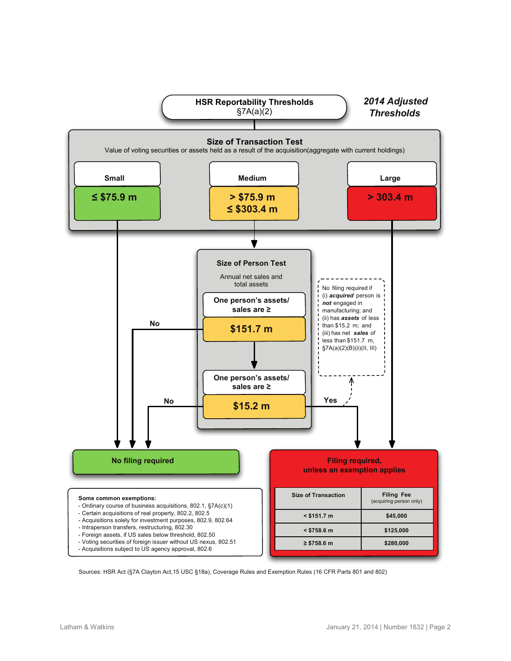

Sources: HSR Act (§7A Clayton Act,15 USC §18a), Coverage Rules and Exemption Rules (16 CFR Parts 801 and 802)